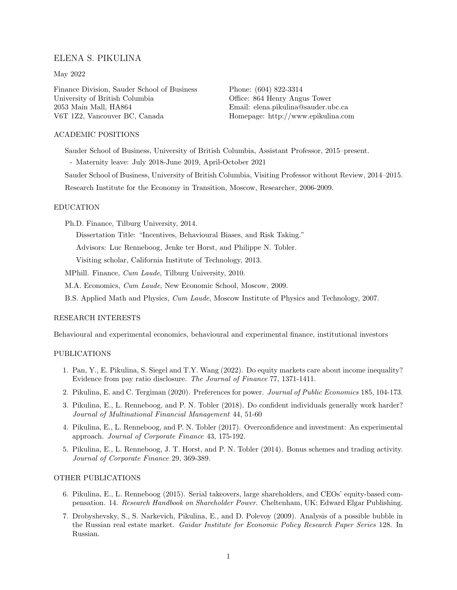# ELENA S. PIKULINA

### May 2022

Finance Division, Sauder School of Business University of British Columbia 2053 Main Mall, HA864 V6T 1Z2, Vancouver BC, Canada

Phone: (604) 822-3314 Office: 864 Henry Angus Tower Email: [elena.pikulina@sauder.ubc.ca](mailto:elena.pikulina@sauder.ubc.ca) Homepage: <http://www.epikulina.com>

# ACADEMIC POSITIONS

Sauder School of Business, University of British Columbia, Assistant Professor, 2015–present. - Maternity leave: July 2018-June 2019, April-October 2021

Sauder School of Business, University of British Columbia, Visiting Professor without Review, 2014–2015.

Research Institute for the Economy in Transition, Moscow, Researcher, 2006-2009.

# EDUCATION

Ph.D. Finance, Tilburg University, 2014.

Dissertation Title: "Incentives, Behavioural Biases, and Risk Taking."

Advisors: Luc Renneboog, Jenke ter Horst, and Philippe N. Tobler.

Visiting scholar, California Institute of Technology, 2013.

MPhill. Finance, Cum Laude, Tilburg University, 2010.

M.A. Economics, Cum Laude, New Economic School, Moscow, 2009.

B.S. Applied Math and Physics, Cum Laude, Moscow Institute of Physics and Technology, 2007.

### RESEARCH INTERESTS

Behavioural and experimental economics, behavioural and experimental finance, institutional investors

#### PUBLICATIONS

- 1. Pan, Y., E. Pikulina, S. Siegel and T.Y. Wang (2022). [Do equity markets care about income inequality?](https://papers.ssrn.com/sol3/papers.cfm?abstract_id=3521020) [Evidence from pay ratio disclosure.](https://papers.ssrn.com/sol3/papers.cfm?abstract_id=3521020) The Journal of Finance 77, 1371-1411.
- 2. Pikulina, E. and C. Tergiman (2020). [Preferences for power.](https://papers.ssrn.com/sol3/papers.cfm?abstract_id=3521041) Journal of Public Economics 185, 104-173.
- 3. Pikulina, E., L. Renneboog, and P. N. Tobler (2018). [Do confident individuals generally work harder?](https://www.sciencedirect.com/science/article/pii/S1042444X18300100) Journal of Multinational Financial Management 44, 51-60
- 4. Pikulina, E., L. Renneboog, and P. N. Tobler (2017). [Overconfidence and investment: An experimental](http://www.sciencedirect.com/science/article/pii/S0929119917300032) [approach.](http://www.sciencedirect.com/science/article/pii/S0929119917300032) Journal of Corporate Finance 43, 175-192.
- 5. Pikulina, E., L. Renneboog, J. T. Horst, and P. N. Tobler (2014). [Bonus schemes and trading activity.](http://www.sciencedirect.com/science/article/pii/S0929119914001151) Journal of Corporate Finance 29, 369-389.

## OTHER PUBLICATIONS

- 6. Pikulina, E., L. Renneboog (2015). [Serial takeovers, large shareholders, and CEOs' equity-based com](https://www.elgaronline.com/view/9781782546849.00028.xml)[pensation. 14.](https://www.elgaronline.com/view/9781782546849.00028.xml) Research Handbook on Shareholder Power. Cheltenham, UK: Edward Elgar Publishing.
- 7. Drobyshevsky, S., S. Narkevich, Pikulina, E., and D. Polevoy (2009). Analysis of a possible bubble in the Russian real estate market. Gaidar Institute for Economic Policy Research Paper Series 128. In Russian.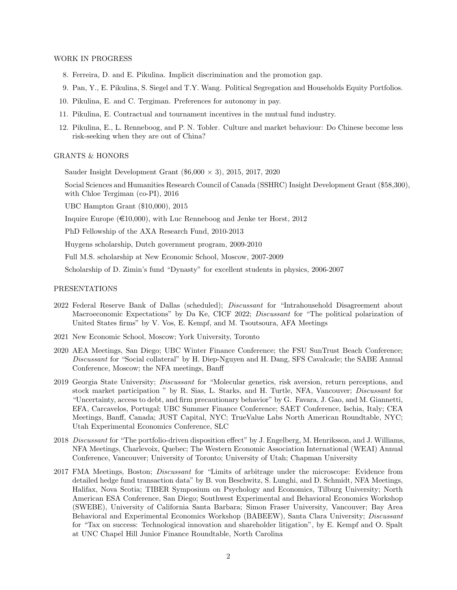#### WORK IN PROGRESS

- 8. Ferreira, D. and E. Pikulina. [Implicit discrimination and the promotion gap.](https://papers.ssrn.com/sol3/papers.cfm?abstract_id=3966838)
- 9. Pan, Y., E. Pikulina, S. Siegel and T.Y. Wang. Political Segregation and Households Equity Portfolios.
- 10. Pikulina, E. and C. Tergiman. [Preferences for autonomy in pay.](https://papers.ssrn.com/sol3/papers.cfm?abstract_id=3515050)
- 11. Pikulina, E. [Contractual and tournament incentives in the mutual fund industry.](https://papers.ssrn.com/sol3/papers.cfm?abstract_id=3521041)
- 12. Pikulina, E., L. Renneboog, and P. N. Tobler. Culture and market behaviour: Do Chinese become less risk-seeking when they are out of China?

# GRANTS & HONORS

Sauder Insight Development Grant  $(\$6,000 \times 3)$ , 2015, 2017, 2020

Social Sciences and Humanities Research Council of Canada (SSHRC) Insight Development Grant (\$58,300), with Chloe Tergiman (co-PI), 2016

UBC Hampton Grant (\$10,000), 2015

Inquire Europe ( $\in 10,000$ ), with Luc Renneboog and Jenke ter Horst, 2012

PhD Fellowship of the AXA Research Fund, 2010-2013

Huygens scholarship, Dutch government program, 2009-2010

Full M.S. scholarship at New Economic School, Moscow, 2007-2009

Scholarship of D. Zimin's fund "Dynasty" for excellent students in physics, 2006-2007

#### PRESENTATIONS

- 2022 Federal Reserve Bank of Dallas (scheduled); Discussant for "Intrahousehold Disagreement about Macroeconomic Expectations" by Da Ke, CICF 2022; *Discussant* for "The political polarization of United States firms" by V. Vos, E. Kempf, and M. Tsoutsoura, AFA Meetings
- 2021 New Economic School, Moscow; York University, Toronto
- 2020 AEA Meetings, San Diego; UBC Winter Finance Conference; the FSU SunTrust Beach Conference; Discussant for "Social collateral" by H. Diep-Nguyen and H. Dang, SFS Cavalcade; the SABE Annual Conference, Moscow; the NFA meetings, Banff
- 2019 Georgia State University; Discussant for "Molecular genetics, risk aversion, return perceptions, and stock market participation " by R. Sias, L. Starks, and H. Turtle, NFA, Vancouver; Discussant for "Uncertainty, access to debt, and firm precautionary behavior" by G. Favara, J. Gao, and M. Giannetti, EFA, Carcavelos, Portugal; UBC Summer Finance Conference; SAET Conference, Ischia, Italy; CEA Meetings, Banff, Canada; JUST Capital, NYC; TrueValue Labs North American Roundtable, NYC; Utah Experimental Economics Conference, SLC
- 2018 Discussant for "The portfolio-driven disposition effect" by J. Engelberg, M. Henriksson, and J. Williams, NFA Meetings, Charlevoix, Quebec; The Western Economic Association International (WEAI) Annual Conference, Vancouver; University of Toronto; University of Utah; Chapman University
- 2017 FMA Meetings, Boston; Discussant for "Limits of arbitrage under the microscope: Evidence from detailed hedge fund transaction data" by B. von Beschwitz, S. Lunghi, and D. Schmidt, NFA Meetings, Halifax, Nova Scotia; TIBER Symposium on Psychology and Economics, Tilburg University; North American ESA Conference, San Diego; Southwest Experimental and Behavioral Economics Workshop (SWEBE), University of California Santa Barbara; Simon Fraser University, Vancouver; Bay Area Behavioral and Experimental Economics Workshop (BABEEW), Santa Clara University; Discussant for "Tax on success: Technological innovation and shareholder litigation", by E. Kempf and O. Spalt at UNC Chapel Hill Junior Finance Roundtable, North Carolina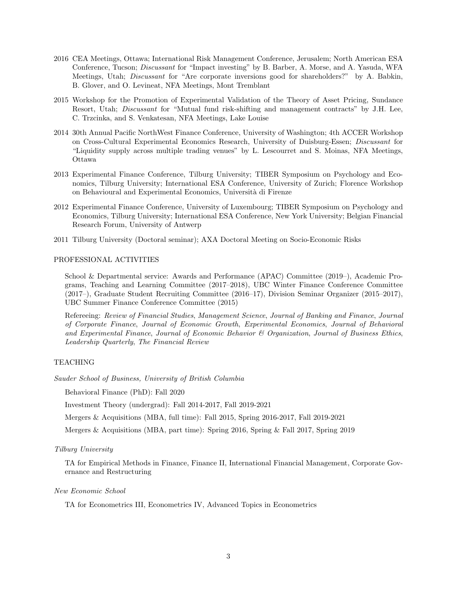- 2016 CEA Meetings, Ottawa; International Risk Management Conference, Jerusalem; North American ESA Conference, Tucson; Discussant for "Impact investing" by B. Barber, A. Morse, and A. Yasuda, WFA Meetings, Utah; Discussant for "Are corporate inversions good for shareholders?" by A. Babkin, B. Glover, and O. Levineat, NFA Meetings, Mont Tremblant
- 2015 Workshop for the Promotion of Experimental Validation of the Theory of Asset Pricing, Sundance Resort, Utah; *Discussant* for "Mutual fund risk-shifting and management contracts" by J.H. Lee, C. Trzcinka, and S. Venkatesan, NFA Meetings, Lake Louise
- 2014 30th Annual Pacific NorthWest Finance Conference, University of Washington; 4th ACCER Workshop on Cross-Cultural Experimental Economics Research, University of Duisburg-Essen; Discussant for "Liquidity supply across multiple trading venues" by L. Lescourret and S. Moinas, NFA Meetings, Ottawa
- 2013 Experimental Finance Conference, Tilburg University; TIBER Symposium on Psychology and Economics, Tilburg University; International ESA Conference, University of Zurich; Florence Workshop on Behavioural and Experimental Economics, Università di Firenze
- 2012 Experimental Finance Conference, University of Luxembourg; TIBER Symposium on Psychology and Economics, Tilburg University; International ESA Conference, New York University; Belgian Financial Research Forum, University of Antwerp
- 2011 Tilburg University (Doctoral seminar); AXA Doctoral Meeting on Socio-Economic Risks

## PROFESSIONAL ACTIVITIES

School & Departmental service: Awards and Performance (APAC) Committee (2019–), Academic Programs, Teaching and Learning Committee (2017–2018), UBC Winter Finance Conference Committee (2017–), Graduate Student Recruiting Committee (2016–17), Division Seminar Organizer (2015–2017), UBC Summer Finance Conference Committee (2015)

Refereeing: Review of Financial Studies, Management Science, Journal of Banking and Finance, Journal of Corporate Finance, Journal of Economic Growth, Experimental Economics, Journal of Behavioral and Experimental Finance, Journal of Economic Behavior & Organization, Journal of Business Ethics, Leadership Quarterly, The Financial Review

# TEACHING

Sauder School of Business, University of British Columbia

Behavioral Finance (PhD): Fall 2020

Investment Theory (undergrad): Fall 2014-2017, Fall 2019-2021

Mergers & Acquisitions (MBA, full time): Fall 2015, Spring 2016-2017, Fall 2019-2021

Mergers & Acquisitions (MBA, part time): Spring 2016, Spring & Fall 2017, Spring 2019

## Tilburg University

TA for Empirical Methods in Finance, Finance II, International Financial Management, Corporate Governance and Restructuring

### New Economic School

TA for Econometrics III, Econometrics IV, Advanced Topics in Econometrics